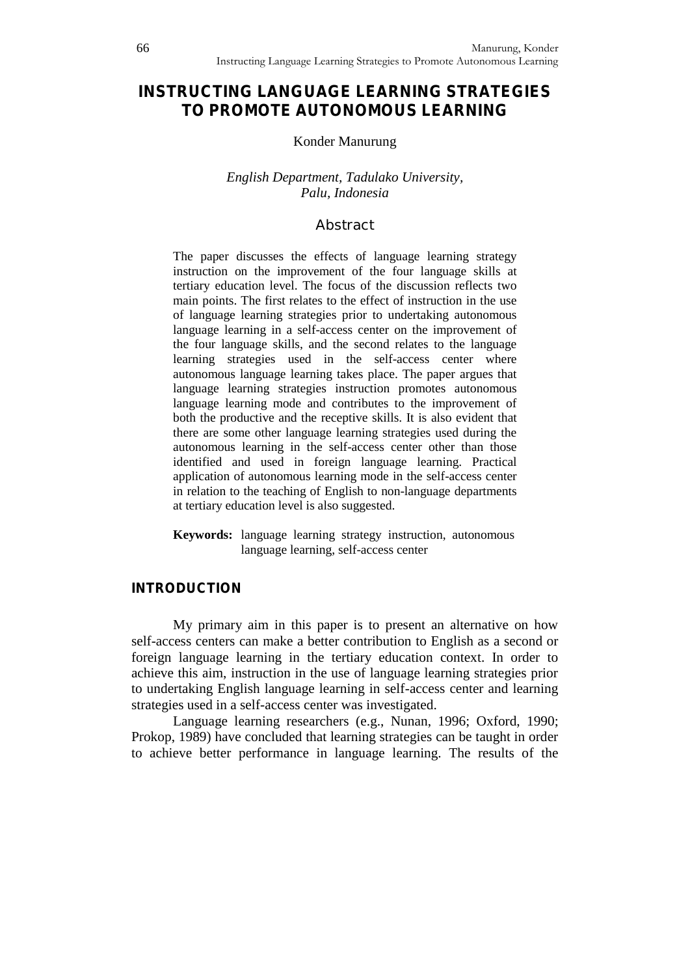# **INSTRUCTING LANGUAGE LEARNING STRATEGIES TO PROMOTE AUTONOMOUS LEARNING**

#### Konder Manurung

#### *English Department, Tadulako University, Palu, Indonesia*

#### **Abstract**

The paper discusses the effects of language learning strategy instruction on the improvement of the four language skills at tertiary education level. The focus of the discussion reflects two main points. The first relates to the effect of instruction in the use of language learning strategies prior to undertaking autonomous language learning in a self-access center on the improvement of the four language skills, and the second relates to the language learning strategies used in the self-access center where autonomous language learning takes place. The paper argues that language learning strategies instruction promotes autonomous language learning mode and contributes to the improvement of both the productive and the receptive skills. It is also evident that there are some other language learning strategies used during the autonomous learning in the self-access center other than those identified and used in foreign language learning. Practical application of autonomous learning mode in the self-access center in relation to the teaching of English to non-language departments at tertiary education level is also suggested.

**Keywords:** language learning strategy instruction, autonomous language learning, self-access center

#### **INTRODUCTION**

My primary aim in this paper is to present an alternative on how self-access centers can make a better contribution to English as a second or foreign language learning in the tertiary education context. In order to achieve this aim, instruction in the use of language learning strategies prior to undertaking English language learning in self-access center and learning strategies used in a self-access center was investigated.

Language learning researchers (e.g., Nunan, 1996; Oxford, 1990; Prokop, 1989) have concluded that learning strategies can be taught in order to achieve better performance in language learning. The results of the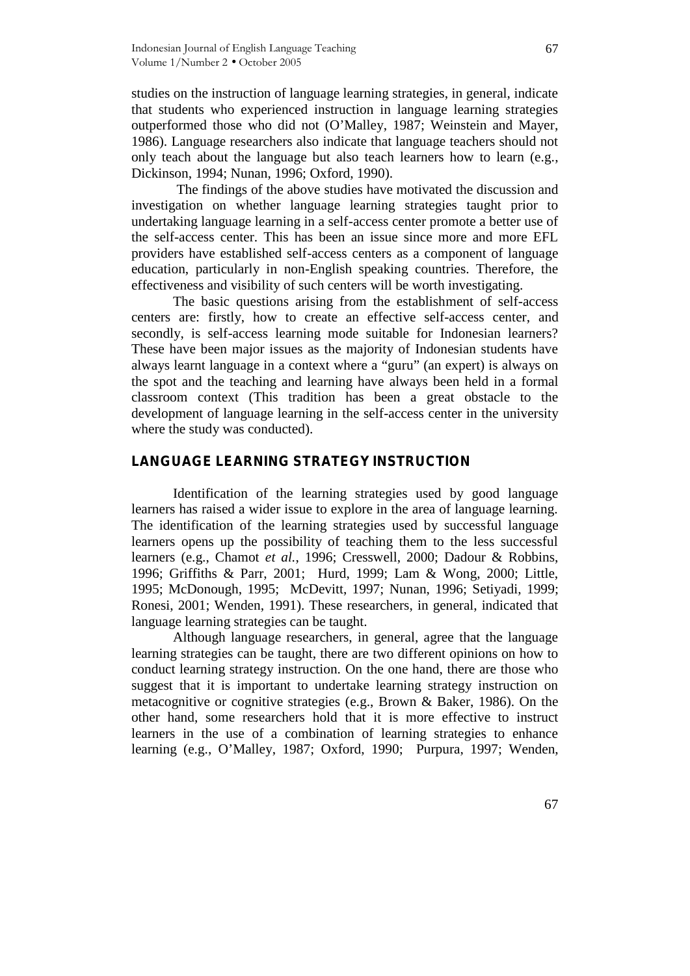studies on the instruction of language learning strategies, in general, indicate that students who experienced instruction in language learning strategies outperformed those who did not (O'Malley, 1987; Weinstein and Mayer, 1986). Language researchers also indicate that language teachers should not only teach about the language but also teach learners how to learn (e.g., Dickinson, 1994; Nunan, 1996; Oxford, 1990).

The findings of the above studies have motivated the discussion and investigation on whether language learning strategies taught prior to undertaking language learning in a self-access center promote a better use of the self-access center. This has been an issue since more and more EFL providers have established self-access centers as a component of language education, particularly in non-English speaking countries. Therefore, the effectiveness and visibility of such centers will be worth investigating.

The basic questions arising from the establishment of self-access centers are: firstly, how to create an effective self-access center, and secondly, is self-access learning mode suitable for Indonesian learners? These have been major issues as the majority of Indonesian students have always learnt language in a context where a "guru" (an expert) is always on the spot and the teaching and learning have always been held in a formal classroom context (This tradition has been a great obstacle to the development of language learning in the self-access center in the university where the study was conducted).

#### **LANGUAGE LEARNING STRATEGY INSTRUCTION**

Identification of the learning strategies used by good language learners has raised a wider issue to explore in the area of language learning. The identification of the learning strategies used by successful language learners opens up the possibility of teaching them to the less successful learners (e.g., Chamot *et al.*, 1996; Cresswell, 2000; Dadour & Robbins, 1996; Griffiths & Parr, 2001; Hurd, 1999; Lam & Wong, 2000; Little, 1995; McDonough, 1995; McDevitt, 1997; Nunan, 1996; Setiyadi, 1999; Ronesi, 2001; Wenden, 1991). These researchers, in general, indicated that language learning strategies can be taught.

Although language researchers, in general, agree that the language learning strategies can be taught, there are two different opinions on how to conduct learning strategy instruction. On the one hand, there are those who suggest that it is important to undertake learning strategy instruction on metacognitive or cognitive strategies (e.g., Brown & Baker, 1986). On the other hand, some researchers hold that it is more effective to instruct learners in the use of a combination of learning strategies to enhance learning (e.g., O'Malley, 1987; Oxford, 1990; Purpura, 1997; Wenden,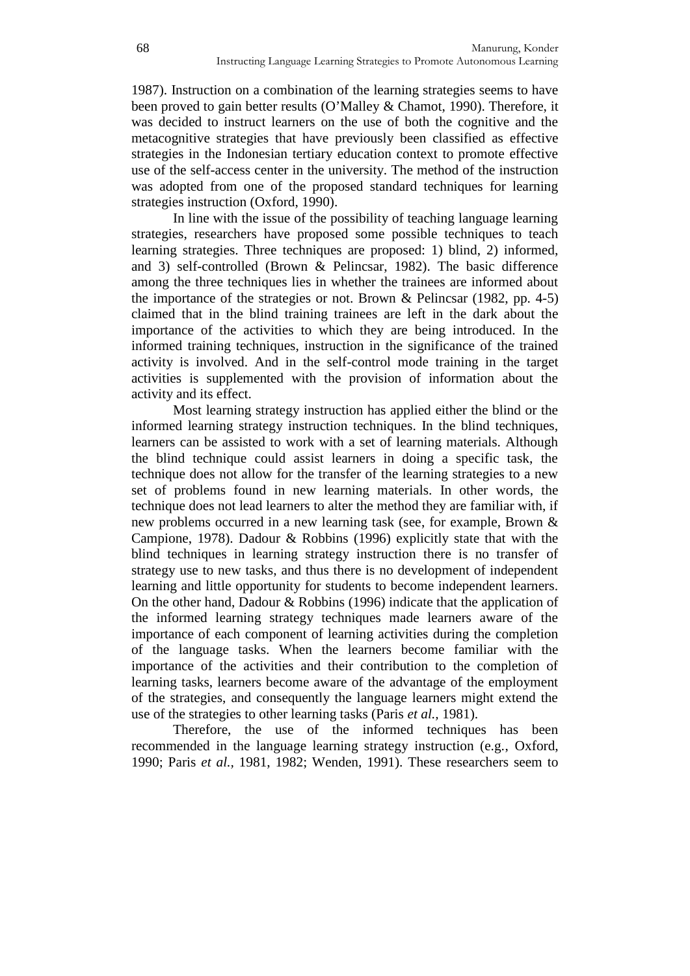1987). Instruction on a combination of the learning strategies seems to have been proved to gain better results (O'Malley & Chamot, 1990). Therefore, it was decided to instruct learners on the use of both the cognitive and the metacognitive strategies that have previously been classified as effective strategies in the Indonesian tertiary education context to promote effective use of the self-access center in the university. The method of the instruction was adopted from one of the proposed standard techniques for learning strategies instruction (Oxford, 1990).

In line with the issue of the possibility of teaching language learning strategies, researchers have proposed some possible techniques to teach learning strategies. Three techniques are proposed: 1) blind, 2) informed, and 3) self-controlled (Brown & Pelincsar, 1982). The basic difference among the three techniques lies in whether the trainees are informed about the importance of the strategies or not. Brown & Pelincsar (1982, pp. 4-5) claimed that in the blind training trainees are left in the dark about the importance of the activities to which they are being introduced. In the informed training techniques, instruction in the significance of the trained activity is involved. And in the self-control mode training in the target activities is supplemented with the provision of information about the activity and its effect.

Most learning strategy instruction has applied either the blind or the informed learning strategy instruction techniques. In the blind techniques, learners can be assisted to work with a set of learning materials. Although the blind technique could assist learners in doing a specific task, the technique does not allow for the transfer of the learning strategies to a new set of problems found in new learning materials. In other words, the technique does not lead learners to alter the method they are familiar with, if new problems occurred in a new learning task (see, for example, Brown & Campione, 1978). Dadour & Robbins (1996) explicitly state that with the blind techniques in learning strategy instruction there is no transfer of strategy use to new tasks, and thus there is no development of independent learning and little opportunity for students to become independent learners. On the other hand, Dadour & Robbins (1996) indicate that the application of the informed learning strategy techniques made learners aware of the importance of each component of learning activities during the completion of the language tasks. When the learners become familiar with the importance of the activities and their contribution to the completion of learning tasks, learners become aware of the advantage of the employment of the strategies, and consequently the language learners might extend the use of the strategies to other learning tasks (Paris *et al.,* 1981).

Therefore, the use of the informed techniques has been recommended in the language learning strategy instruction (e.g., Oxford, 1990; Paris *et al.,* 1981, 1982; Wenden, 1991). These researchers seem to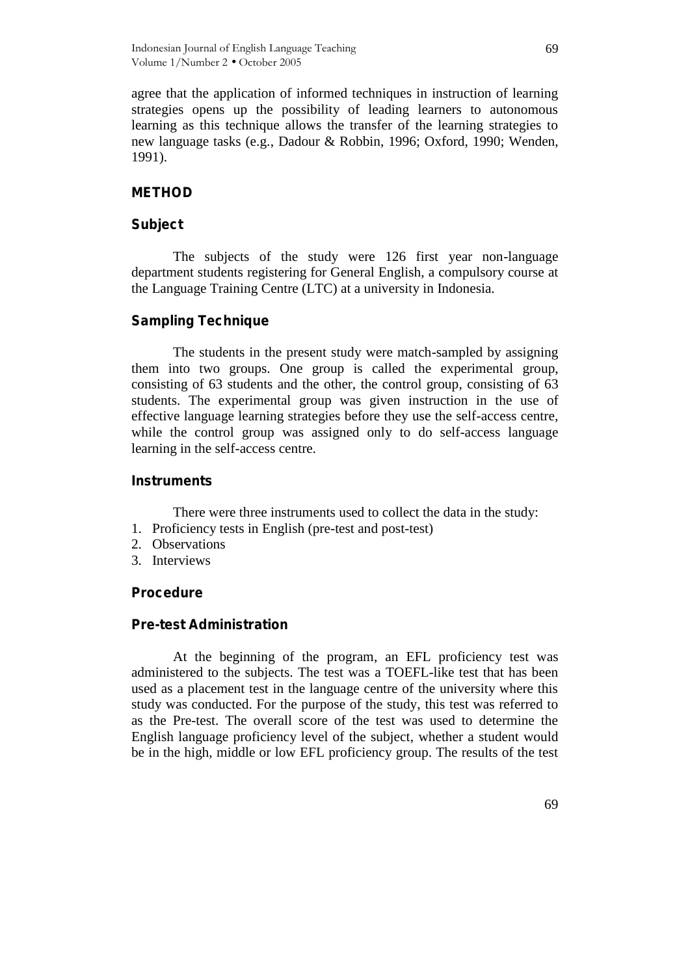agree that the application of informed techniques in instruction of learning strategies opens up the possibility of leading learners to autonomous learning as this technique allows the transfer of the learning strategies to new language tasks (e.g., Dadour & Robbin, 1996; Oxford, 1990; Wenden, 1991).

#### **METHOD**

#### **Subject**

The subjects of the study were 126 first year non-language department students registering for General English, a compulsory course at the Language Training Centre (LTC) at a university in Indonesia.

#### **Sampling Technique**

The students in the present study were match-sampled by assigning them into two groups. One group is called the experimental group, consisting of 63 students and the other, the control group, consisting of 63 students. The experimental group was given instruction in the use of effective language learning strategies before they use the self-access centre, while the control group was assigned only to do self-access language learning in the self-access centre.

#### **Instruments**

There were three instruments used to collect the data in the study:

- 1. Proficiency tests in English (pre-test and post-test)
- 2. Observations
- 3. Interviews

#### **Procedure**

#### **Pre-test Administration**

At the beginning of the program, an EFL proficiency test was administered to the subjects. The test was a TOEFL-like test that has been used as a placement test in the language centre of the university where this study was conducted. For the purpose of the study, this test was referred to as the Pre-test. The overall score of the test was used to determine the English language proficiency level of the subject, whether a student would be in the high, middle or low EFL proficiency group. The results of the test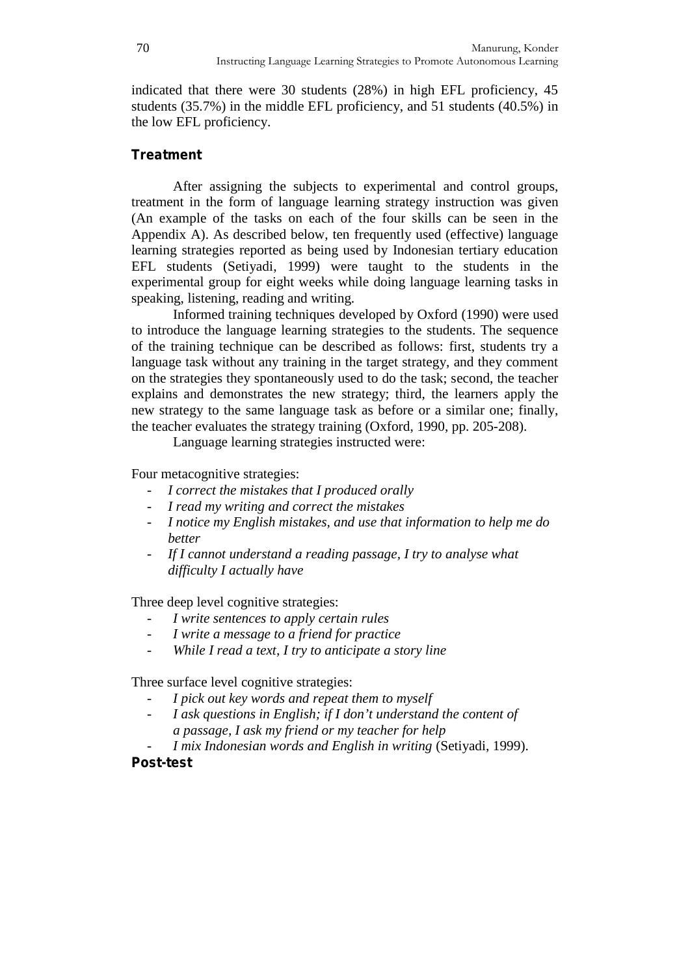indicated that there were 30 students (28%) in high EFL proficiency, 45 students (35.7%) in the middle EFL proficiency, and 51 students (40.5%) in the low EFL proficiency.

## **Treatment**

After assigning the subjects to experimental and control groups, treatment in the form of language learning strategy instruction was given (An example of the tasks on each of the four skills can be seen in the Appendix A). As described below, ten frequently used (effective) language learning strategies reported as being used by Indonesian tertiary education EFL students (Setiyadi, 1999) were taught to the students in the experimental group for eight weeks while doing language learning tasks in speaking, listening, reading and writing.

Informed training techniques developed by Oxford (1990) were used to introduce the language learning strategies to the students. The sequence of the training technique can be described as follows: first, students try a language task without any training in the target strategy, and they comment on the strategies they spontaneously used to do the task; second, the teacher explains and demonstrates the new strategy; third, the learners apply the new strategy to the same language task as before or a similar one; finally, the teacher evaluates the strategy training (Oxford, 1990, pp. 205-208).

Language learning strategies instructed were:

Four metacognitive strategies:

- *I correct the mistakes that I produced orally*
- *I read my writing and correct the mistakes*
- *I notice my English mistakes, and use that information to help me do better*
- *If I cannot understand a reading passage, I try to analyse what difficulty I actually have*

Three deep level cognitive strategies:

- *I write sentences to apply certain rules*
- *I write a message to a friend for practice*
- *While I read a text, I try to anticipate a story line*

Three surface level cognitive strategies:

- *I pick out key words and repeat them to myself*
- *I ask questions in English; if I don't understand the content of a passage, I ask my friend or my teacher for help*
- *I mix Indonesian words and English in writing* (Setiyadi, 1999).

## **Post-test**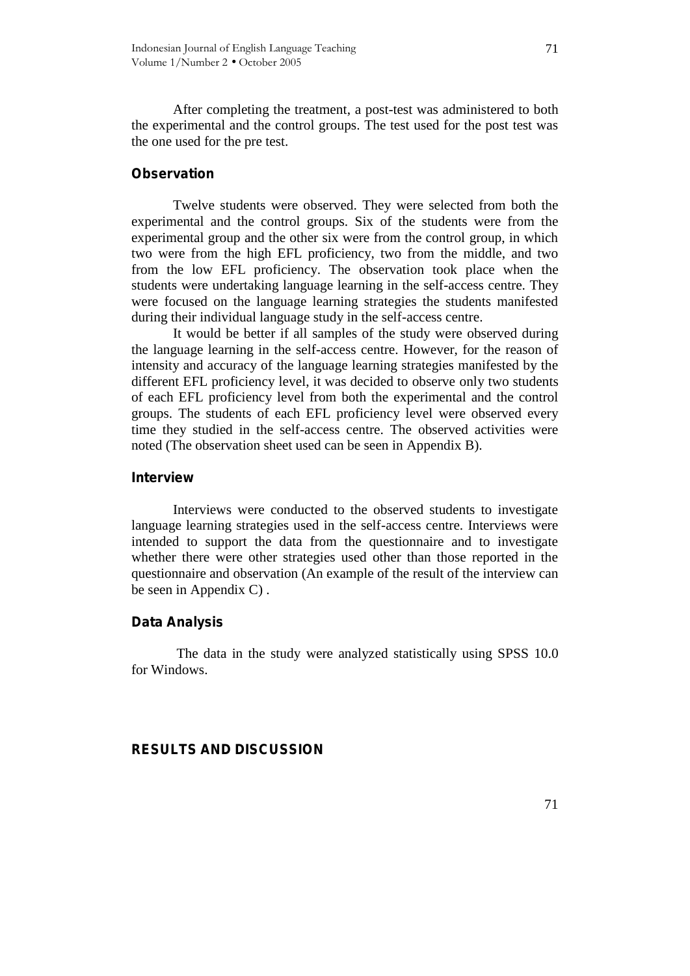After completing the treatment, a post-test was administered to both the experimental and the control groups. The test used for the post test was the one used for the pre test.

#### **Observation**

Twelve students were observed. They were selected from both the experimental and the control groups. Six of the students were from the experimental group and the other six were from the control group, in which two were from the high EFL proficiency, two from the middle, and two from the low EFL proficiency. The observation took place when the students were undertaking language learning in the self-access centre. They were focused on the language learning strategies the students manifested during their individual language study in the self-access centre.

It would be better if all samples of the study were observed during the language learning in the self-access centre. However, for the reason of intensity and accuracy of the language learning strategies manifested by the different EFL proficiency level, it was decided to observe only two students of each EFL proficiency level from both the experimental and the control groups. The students of each EFL proficiency level were observed every time they studied in the self-access centre. The observed activities were noted (The observation sheet used can be seen in Appendix B).

#### **Interview**

Interviews were conducted to the observed students to investigate language learning strategies used in the self-access centre. Interviews were intended to support the data from the questionnaire and to investigate whether there were other strategies used other than those reported in the questionnaire and observation (An example of the result of the interview can be seen in Appendix C) .

#### **Data Analysis**

The data in the study were analyzed statistically using SPSS 10.0 for Windows.

#### **RESULTS AND DISCUSSION**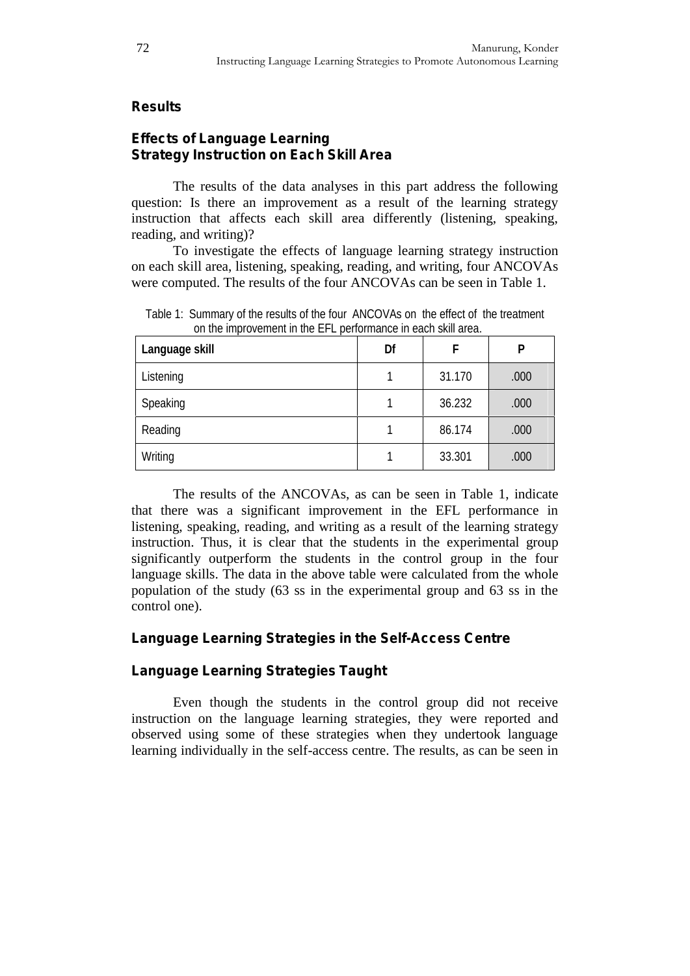## **Results**

## **Effects of Language Learning Strategy Instruction on Each Skill Area**

The results of the data analyses in this part address the following question: Is there an improvement as a result of the learning strategy instruction that affects each skill area differently (listening, speaking, reading, and writing)?

To investigate the effects of language learning strategy instruction on each skill area, listening, speaking, reading, and writing, four ANCOVAs were computed. The results of the four ANCOVAs can be seen in Table 1.

| Language skill | Df | F      | Ρ    |
|----------------|----|--------|------|
| Listening      |    | 31.170 | .000 |
| Speaking       |    | 36.232 | .000 |
| Reading        |    | 86.174 | .000 |
| Writing        |    | 33.301 | .000 |

Table 1: Summary of the results of the four ANCOVAs on the effect of the treatment on the improvement in the EFL performance in each skill area.

The results of the ANCOVAs, as can be seen in Table 1, indicate that there was a significant improvement in the EFL performance in listening, speaking, reading, and writing as a result of the learning strategy instruction. Thus, it is clear that the students in the experimental group significantly outperform the students in the control group in the four language skills. The data in the above table were calculated from the whole population of the study (63 ss in the experimental group and 63 ss in the control one).

## **Language Learning Strategies in the Self-Access Centre**

## **Language Learning Strategies Taught**

Even though the students in the control group did not receive instruction on the language learning strategies, they were reported and observed using some of these strategies when they undertook language learning individually in the self-access centre. The results, as can be seen in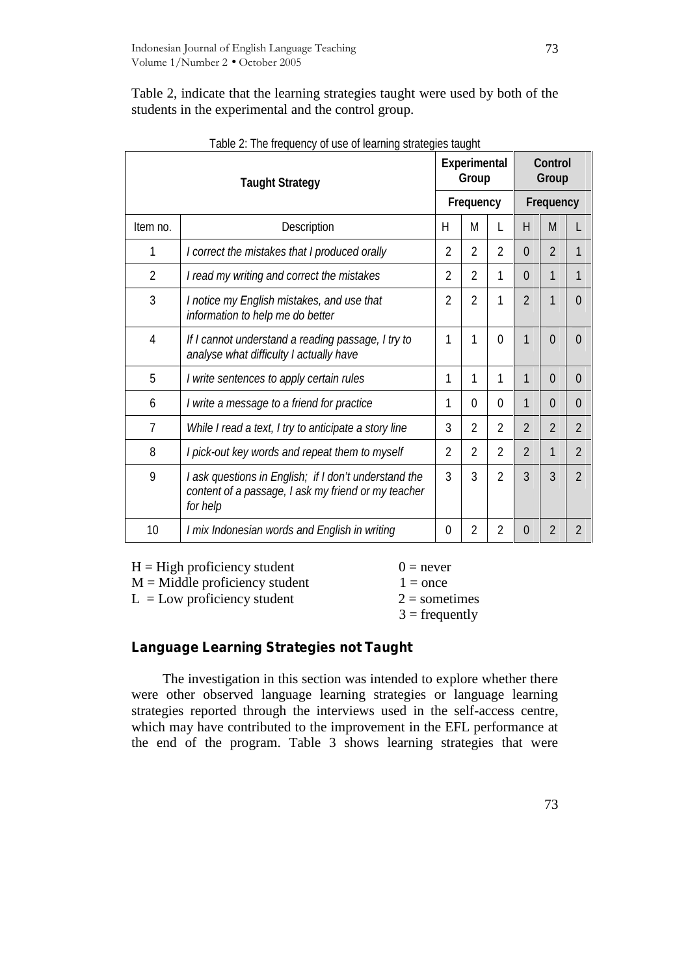Table 2, indicate that the learning strategies taught were used by both of the students in the experimental and the control group.

| <b>Taught Strategy</b> |                                                                                                                          |                | <b>Experimental</b><br>Group |                |                  | Control<br>Group |                |  |
|------------------------|--------------------------------------------------------------------------------------------------------------------------|----------------|------------------------------|----------------|------------------|------------------|----------------|--|
|                        |                                                                                                                          | Frequency      |                              |                | <b>Frequency</b> |                  |                |  |
| Item no.               | Description                                                                                                              | H              | M                            | L              | H                | M                | L              |  |
| 1                      | I correct the mistakes that I produced orally                                                                            | $\overline{2}$ | $\overline{2}$               | $\overline{2}$ | $\Omega$         | $\overline{2}$   | 1              |  |
| $\overline{2}$         | I read my writing and correct the mistakes                                                                               | $\overline{2}$ | $\overline{2}$               | 1              | $\overline{0}$   | 1                | 1              |  |
| 3                      | I notice my English mistakes, and use that<br>information to help me do better                                           | $\overline{2}$ | $\overline{2}$               | 1              | $\overline{2}$   | 1                | 0              |  |
| $\overline{4}$         | If I cannot understand a reading passage, I try to<br>analyse what difficulty I actually have                            | 1              | 1                            | $\Omega$       | 1                | $\Omega$         | $\Omega$       |  |
| 5                      | I write sentences to apply certain rules                                                                                 | 1              | 1                            | 1              | 1                | $\overline{0}$   | $\Omega$       |  |
| 6                      | I write a message to a friend for practice                                                                               | 1              | 0                            | 0              | 1                | 0                | 0              |  |
| $\overline{7}$         | While I read a text, I try to anticipate a story line                                                                    | 3              | $\overline{2}$               | $\overline{2}$ | $\overline{2}$   | $\overline{2}$   | $\overline{2}$ |  |
| 8                      | I pick-out key words and repeat them to myself                                                                           | $\overline{2}$ | $\overline{2}$               | $\overline{2}$ | $\overline{2}$   | $\mathbf 1$      | $\overline{2}$ |  |
| 9                      | I ask questions in English; if I don't understand the<br>content of a passage, I ask my friend or my teacher<br>for help | 3              | 3                            | $\overline{2}$ | 3                | 3                | $\mathcal{P}$  |  |
| 10                     | I mix Indonesian words and English in writing                                                                            | 0              | 2                            | $\overline{2}$ | $\overline{0}$   | $\overline{2}$   | $\overline{2}$ |  |

Table 2: The frequency of use of learning strategies taught

 $H = High \, projectioncy \, student \, 0 = never$ 

 $M =$ Middle proficiency student  $1 =$  once

 $L = Low$  proficiency student  $2 =$  sometimes

 $3 = \text{frequently}$ 

## **Language Learning Strategies not Taught**

The investigation in this section was intended to explore whether there were other observed language learning strategies or language learning strategies reported through the interviews used in the self-access centre, which may have contributed to the improvement in the EFL performance at the end of the program. Table 3 shows learning strategies that were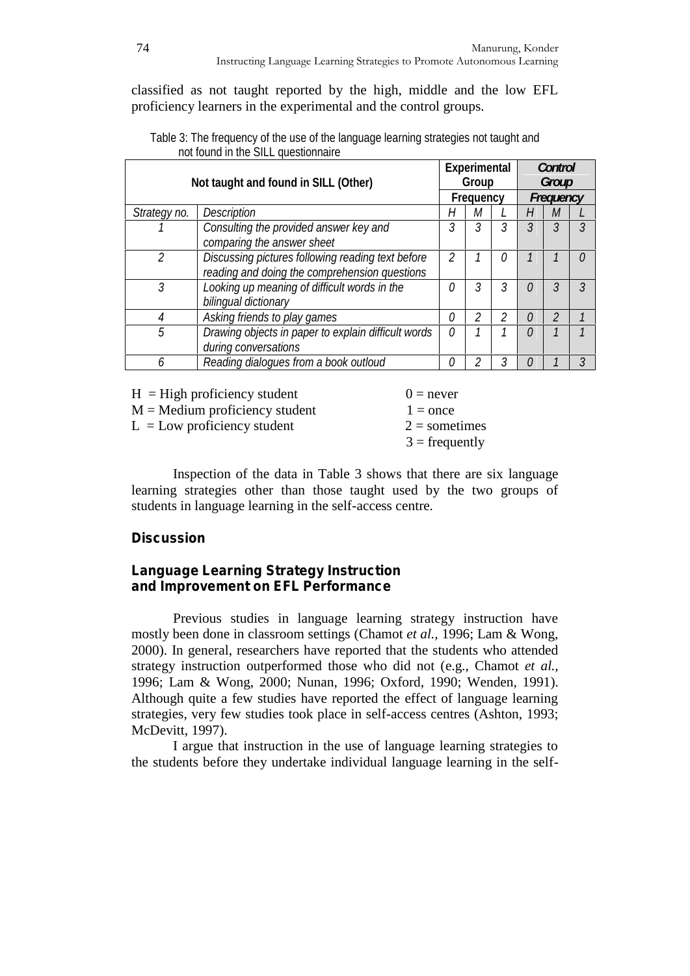classified as not taught reported by the high, middle and the low EFL proficiency learners in the experimental and the control groups.

| Not taught and found in SILL (Other) |                                                                                                    | Experimental<br>Group<br><b>Frequency</b> |   |   | Control<br>Group<br>Frequency |   |    |
|--------------------------------------|----------------------------------------------------------------------------------------------------|-------------------------------------------|---|---|-------------------------------|---|----|
| Strategy no.                         | Description                                                                                        | Н                                         | м |   | Н                             | M |    |
|                                      | Consulting the provided answer key and<br>comparing the answer sheet                               | 3                                         | 3 | 3 | 3                             | 3 | 3  |
| $\mathcal{P}$                        | Discussing pictures following reading text before<br>reading and doing the comprehension questions | $\mathfrak{p}$                            |   | 0 | 1                             | 1 | 0  |
| 3                                    | Looking up meaning of difficult words in the<br>bilingual dictionary                               | O                                         | 3 | 3 | 0                             | 3 | 3  |
| 4                                    | Asking friends to play games                                                                       | 0                                         | 2 | 2 | 0                             | 2 | 1  |
| 5                                    | Drawing objects in paper to explain difficult words<br>during conversations                        | n                                         |   |   | 0                             | 1 | -1 |
| 6                                    | Reading dialogues from a book outloud                                                              | n                                         | 2 | 3 | 0                             | 1 | 3  |

Table 3: The frequency of the use of the language learning strategies not taught and not found in the SILL questionnaire

 $H = High$  proficiency student  $0 = never$ 

 $M =$ Medium proficiency student  $1 =$  once

 $L = Low$  proficiency student  $2 =$  sometimes

 $3 =$  frequently

Inspection of the data in Table 3 shows that there are six language learning strategies other than those taught used by the two groups of students in language learning in the self-access centre.

## **Discussion**

## **Language Learning Strategy Instruction and Improvement on EFL Performance**

Previous studies in language learning strategy instruction have mostly been done in classroom settings (Chamot *et al.,* 1996; Lam & Wong, 2000). In general, researchers have reported that the students who attended strategy instruction outperformed those who did not (e.g., Chamot *et al.,* 1996; Lam & Wong, 2000; Nunan, 1996; Oxford, 1990; Wenden, 1991). Although quite a few studies have reported the effect of language learning strategies, very few studies took place in self-access centres (Ashton, 1993; McDevitt, 1997).

I argue that instruction in the use of language learning strategies to the students before they undertake individual language learning in the self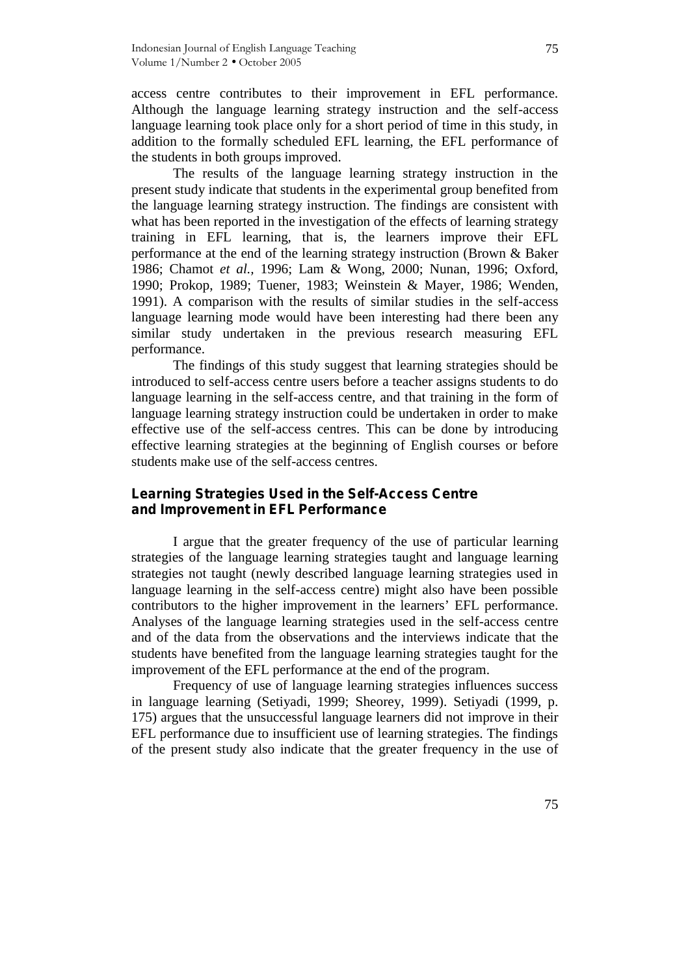access centre contributes to their improvement in EFL performance. Although the language learning strategy instruction and the self-access language learning took place only for a short period of time in this study, in addition to the formally scheduled EFL learning, the EFL performance of the students in both groups improved.

The results of the language learning strategy instruction in the present study indicate that students in the experimental group benefited from the language learning strategy instruction. The findings are consistent with what has been reported in the investigation of the effects of learning strategy training in EFL learning, that is, the learners improve their EFL performance at the end of the learning strategy instruction (Brown & Baker 1986; Chamot *et al.,* 1996; Lam & Wong, 2000; Nunan, 1996; Oxford, 1990; Prokop, 1989; Tuener, 1983; Weinstein & Mayer, 1986; Wenden, 1991). A comparison with the results of similar studies in the self-access language learning mode would have been interesting had there been any similar study undertaken in the previous research measuring EFL performance.

The findings of this study suggest that learning strategies should be introduced to self-access centre users before a teacher assigns students to do language learning in the self-access centre, and that training in the form of language learning strategy instruction could be undertaken in order to make effective use of the self-access centres. This can be done by introducing effective learning strategies at the beginning of English courses or before students make use of the self-access centres.

## **Learning Strategies Used in the Self-Access Centre and Improvement in EFL Performance**

I argue that the greater frequency of the use of particular learning strategies of the language learning strategies taught and language learning strategies not taught (newly described language learning strategies used in language learning in the self-access centre) might also have been possible contributors to the higher improvement in the learners' EFL performance. Analyses of the language learning strategies used in the self-access centre and of the data from the observations and the interviews indicate that the students have benefited from the language learning strategies taught for the improvement of the EFL performance at the end of the program.

Frequency of use of language learning strategies influences success in language learning (Setiyadi, 1999; Sheorey, 1999). Setiyadi (1999, p. 175) argues that the unsuccessful language learners did not improve in their EFL performance due to insufficient use of learning strategies. The findings of the present study also indicate that the greater frequency in the use of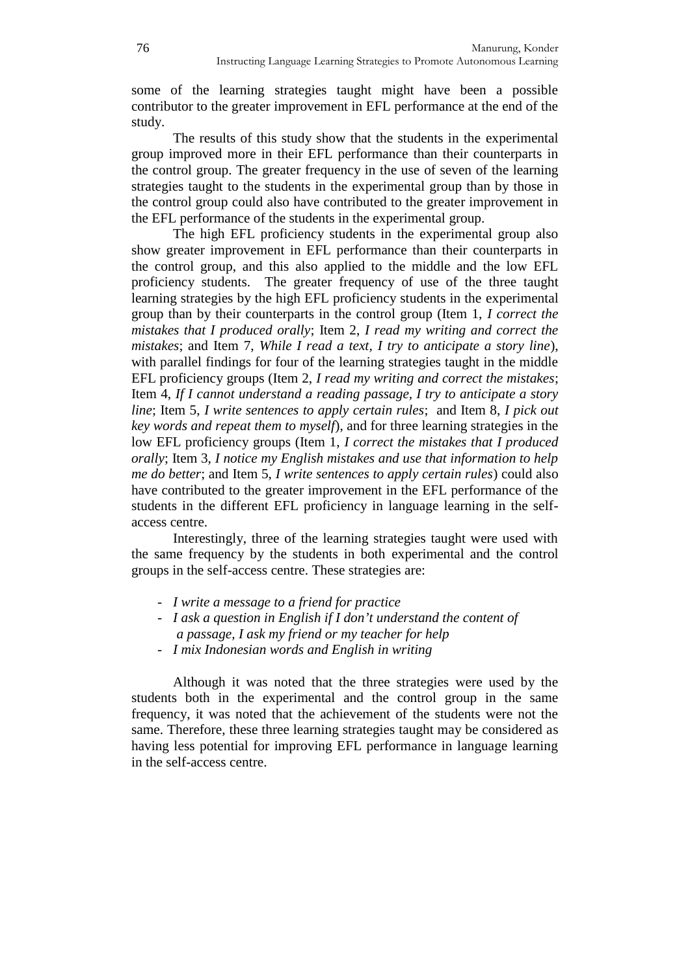some of the learning strategies taught might have been a possible contributor to the greater improvement in EFL performance at the end of the study.

The results of this study show that the students in the experimental group improved more in their EFL performance than their counterparts in the control group. The greater frequency in the use of seven of the learning strategies taught to the students in the experimental group than by those in the control group could also have contributed to the greater improvement in the EFL performance of the students in the experimental group.

The high EFL proficiency students in the experimental group also show greater improvement in EFL performance than their counterparts in the control group, and this also applied to the middle and the low EFL proficiency students. The greater frequency of use of the three taught learning strategies by the high EFL proficiency students in the experimental group than by their counterparts in the control group (Item 1, *I correct the mistakes that I produced orally*; Item 2, *I read my writing and correct the mistakes*; and Item 7, *While I read a text, I try to anticipate a story line*), with parallel findings for four of the learning strategies taught in the middle EFL proficiency groups (Item 2, *I read my writing and correct the mistakes*; Item 4, *If I cannot understand a reading passage, I try to anticipate a story line*; Item 5, *I write sentences to apply certain rules*; and Item 8, *I pick out key words and repeat them to myself*), and for three learning strategies in the low EFL proficiency groups (Item 1, *I correct the mistakes that I produced orally*; Item 3, *I notice my English mistakes and use that information to help me do better*; and Item 5, *I write sentences to apply certain rules*) could also have contributed to the greater improvement in the EFL performance of the students in the different EFL proficiency in language learning in the self access centre.

Interestingly, three of the learning strategies taught were used with the same frequency by the students in both experimental and the control groups in the self-access centre. These strategies are:

- *I write a message to a friend for practice*
- *I ask a question in English if I don't understand the content of a passage, I ask my friend or my teacher for help* - *I mix Indonesian words and English in writing*
- 

Although it was noted that the three strategies were used by the students both in the experimental and the control group in the same frequency, it was noted that the achievement of the students were not the same. Therefore, these three learning strategies taught may be considered as having less potential for improving EFL performance in language learning in the self-access centre.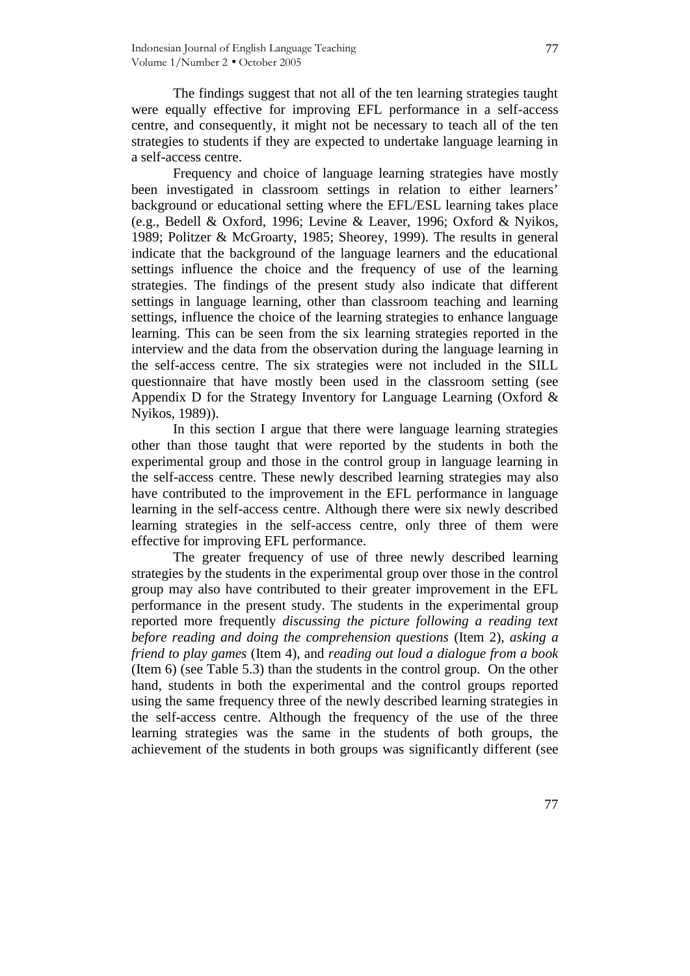The findings suggest that not all of the ten learning strategies taught were equally effective for improving EFL performance in a self-access centre, and consequently, it might not be necessary to teach all of the ten strategies to students if they are expected to undertake language learning in a self-access centre.

Frequency and choice of language learning strategies have mostly been investigated in classroom settings in relation to either learners' background or educational setting where the EFL/ESL learning takes place (e.g., Bedell & Oxford, 1996; Levine & Leaver, 1996; Oxford & Nyikos, 1989; Politzer & McGroarty, 1985; Sheorey, 1999). The results in general indicate that the background of the language learners and the educational settings influence the choice and the frequency of use of the learning strategies. The findings of the present study also indicate that different settings in language learning, other than classroom teaching and learning settings, influence the choice of the learning strategies to enhance language learning. This can be seen from the six learning strategies reported in the interview and the data from the observation during the language learning in the self-access centre. The six strategies were not included in the SILL questionnaire that have mostly been used in the classroom setting (see Appendix D for the Strategy Inventory for Language Learning (Oxford & Nyikos, 1989)).

In this section I argue that there were language learning strategies other than those taught that were reported by the students in both the experimental group and those in the control group in language learning in the self-access centre. These newly described learning strategies may also have contributed to the improvement in the EFL performance in language learning in the self-access centre. Although there were six newly described learning strategies in the self-access centre, only three of them were effective for improving EFL performance.

The greater frequency of use of three newly described learning strategies by the students in the experimental group over those in the control group may also have contributed to their greater improvement in the EFL performance in the present study. The students in the experimental group reported more frequently *discussing the picture following a reading text before reading and doing the comprehension questions* (Item 2), *asking a friend to play games* (Item 4), and *reading out loud a dialogue from a book* (Item 6) (see Table 5.3) than the students in the control group. On the other hand, students in both the experimental and the control groups reported using the same frequency three of the newly described learning strategies in the self-access centre. Although the frequency of the use of the three learning strategies was the same in the students of both groups, the achievement of the students in both groups was significantly different (see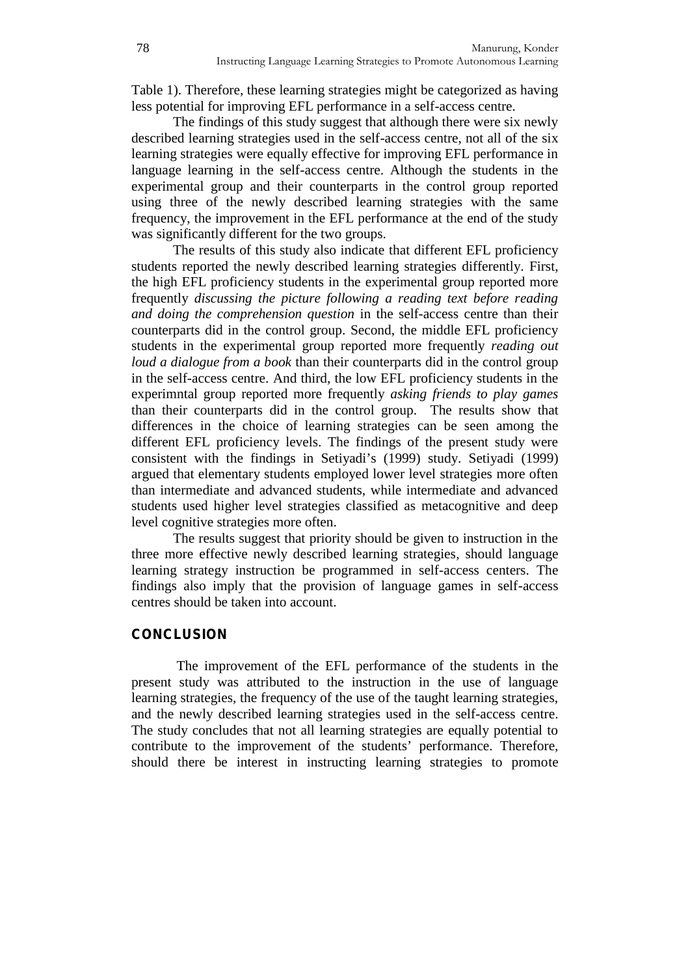Table 1). Therefore, these learning strategies might be categorized as having less potential for improving EFL performance in a self-access centre.

The findings of this study suggest that although there were six newly described learning strategies used in the self-access centre, not all of the six learning strategies were equally effective for improving EFL performance in language learning in the self-access centre. Although the students in the experimental group and their counterparts in the control group reported using three of the newly described learning strategies with the same frequency, the improvement in the EFL performance at the end of the study was significantly different for the two groups.

The results of this study also indicate that different EFL proficiency students reported the newly described learning strategies differently. First, the high EFL proficiency students in the experimental group reported more frequently *discussing the picture following a reading text before reading and doing the comprehension question* in the self-access centre than their counterparts did in the control group. Second, the middle EFL proficiency students in the experimental group reported more frequently *reading out loud a dialogue from a book* than their counterparts did in the control group in the self-access centre. And third, the low EFL proficiency students in the experimntal group reported more frequently *asking friends to play games* than their counterparts did in the control group. The results show that differences in the choice of learning strategies can be seen among the different EFL proficiency levels. The findings of the present study were consistent with the findings in Setiyadi's (1999) study. Setiyadi (1999) argued that elementary students employed lower level strategies more often than intermediate and advanced students, while intermediate and advanced students used higher level strategies classified as metacognitive and deep level cognitive strategies more often.

The results suggest that priority should be given to instruction in the three more effective newly described learning strategies, should language learning strategy instruction be programmed in self-access centers. The findings also imply that the provision of language games in self-access centres should be taken into account.

## **CONCLUSION**

The improvement of the EFL performance of the students in the present study was attributed to the instruction in the use of language learning strategies, the frequency of the use of the taught learning strategies, and the newly described learning strategies used in the self-access centre. The study concludes that not all learning strategies are equally potential to contribute to the improvement of the students' performance. Therefore, should there be interest in instructing learning strategies to promote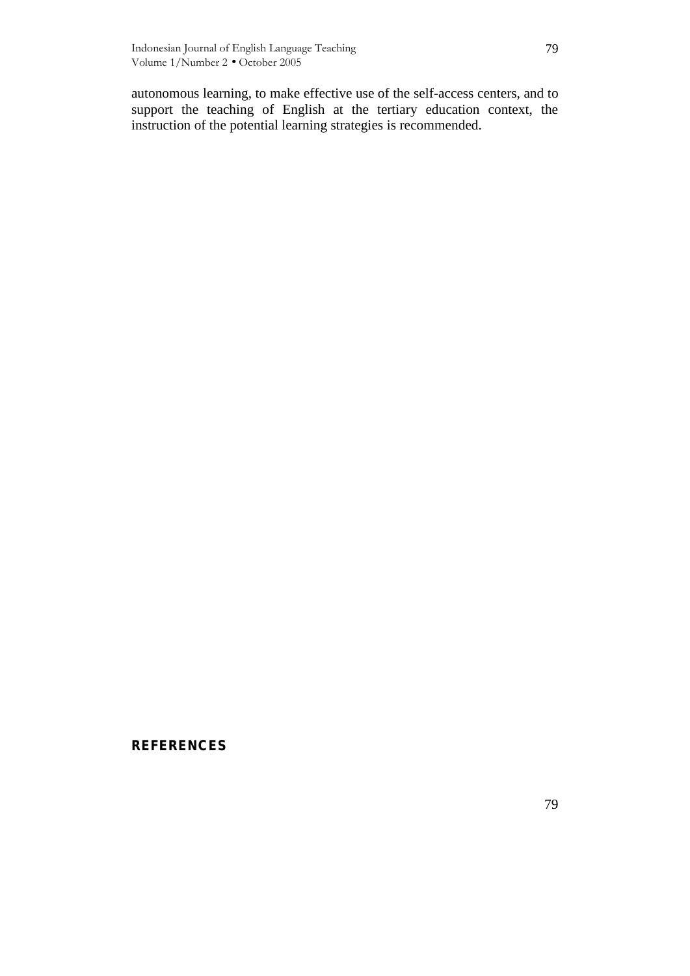autonomous learning, to make effective use of the self-access centers, and to support the teaching of English at the tertiary education context, the instruction of the potential learning strategies is recommended.

## **REFERENCES**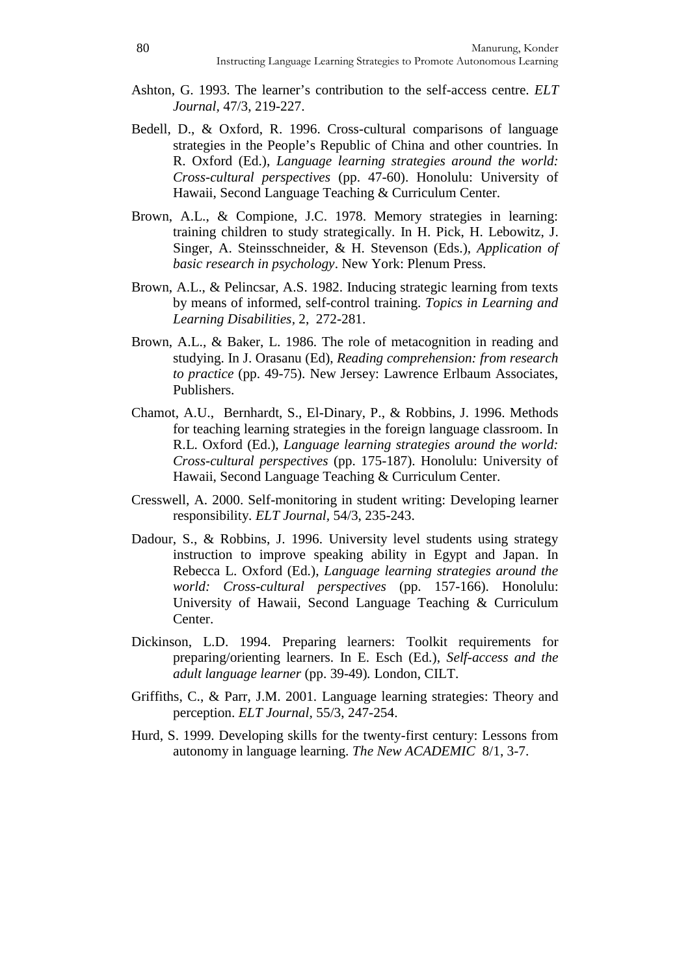- Ashton, G. 1993. The learner's contribution to the self-access centre. *ELT Journal,* 47/3, 219-227.
- Bedell, D., & Oxford, R. 1996. Cross-cultural comparisons of language strategies in the People's Republic of China and other countries. In R. Oxford (Ed.), *Language learning strategies around the world: Cross-cultural perspectives* (pp. 47-60). Honolulu: University of Hawaii, Second Language Teaching & Curriculum Center.
- Brown, A.L., & Compione, J.C. 1978. Memory strategies in learning: training children to study strategically. In H. Pick, H. Lebowitz, J. Singer, A. Steinsschneider, & H. Stevenson (Eds.), *Application of basic research in psychology*. New York: Plenum Press.
- Brown, A.L., & Pelincsar, A.S. 1982. Inducing strategic learning from texts by means of informed, self-control training. *Topics in Learning and Learning Disabilities,* 2, 272-281.
- Brown, A.L., & Baker, L. 1986. The role of metacognition in reading and studying. In J. Orasanu (Ed), *Reading comprehension: from research to practice* (pp. 49-75). New Jersey: Lawrence Erlbaum Associates, Publishers.
- Chamot, A.U., Bernhardt, S., El-Dinary, P., & Robbins, J. 1996. Methods for teaching learning strategies in the foreign language classroom. In R.L. Oxford (Ed.), *Language learning strategies around the world: Cross-cultural perspectives* (pp. 175-187). Honolulu: University of Hawaii, Second Language Teaching & Curriculum Center.
- Cresswell, A. 2000. Self-monitoring in student writing: Developing learner responsibility. *ELT Journal,* 54/3, 235-243.
- Dadour, S., & Robbins, J. 1996. University level students using strategy instruction to improve speaking ability in Egypt and Japan. In Rebecca L. Oxford (Ed.), *Language learning strategies around the world: Cross-cultural perspectives* (pp. 157-166). Honolulu: University of Hawaii, Second Language Teaching & Curriculum Center.
- Dickinson, L.D. 1994. Preparing learners: Toolkit requirements for preparing/orienting learners. In E. Esch (Ed.), *Self-access and the adult language learner* (pp. 39-49)*.* London, CILT.
- Griffiths, C., & Parr, J.M. 2001. Language learning strategies: Theory and perception. *ELT Journal,* 55/3, 247-254.
- Hurd, S. 1999. Developing skills for the twenty-first century: Lessons from autonomy in language learning. *The New ACADEMIC* 8/1, 3-7.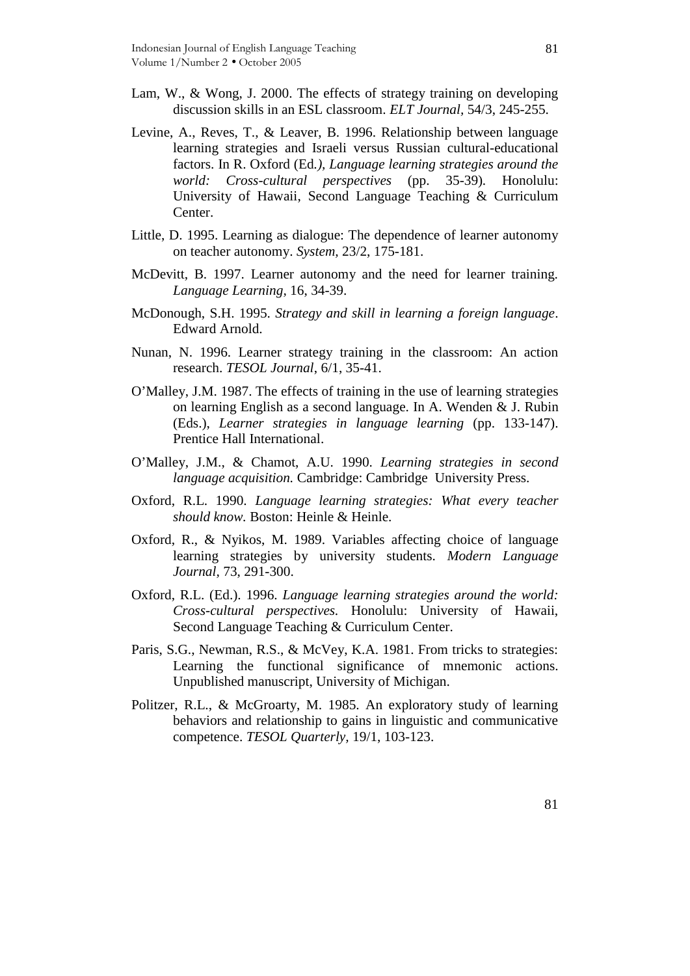- Lam, W., & Wong, J. 2000. The effects of strategy training on developing discussion skills in an ESL classroom. *ELT Journal,* 54/3, 245-255.
- Levine, A., Reves, T., & Leaver, B. 1996. Relationship between language learning strategies and Israeli versus Russian cultural-educational factors. In R. Oxford (Ed*.), Language learning strategies around the world: Cross-cultural perspectives* (pp. 35-39)*.* Honolulu: University of Hawaii, Second Language Teaching & Curriculum Center.
- Little, D. 1995. Learning as dialogue: The dependence of learner autonomy on teacher autonomy. *System,* 23/2, 175-181.
- McDevitt, B. 1997. Learner autonomy and the need for learner training. *Language Learning,* 16, 34-39.
- McDonough, S.H. 1995. *Strategy and skill in learning a foreign language*. Edward Arnold.
- Nunan, N. 1996. Learner strategy training in the classroom: An action research. *TESOL Journal*, 6/1, 35-41.
- O'Malley, J.M. 1987. The effects of training in the use of learning strategies on learning English as a second language. In A. Wenden & J. Rubin (Eds.), *Learner strategies in language learning* (pp. 133-147). Prentice Hall International.
- O'Malley, J.M., & Chamot, A.U. 1990. *Learning strategies in second language acquisition.* Cambridge: Cambridge University Press.
- Oxford, R.L. 1990. *Language learning strategies: What every teacher should know.* Boston: Heinle & Heinle.
- Oxford, R., & Nyikos, M. 1989. Variables affecting choice of language learning strategies by university students. *Modern Language Journal,* 73, 291-300.
- Oxford, R.L. (Ed.). 1996. *Language learning strategies around the world: Cross-cultural perspectives.* Honolulu: University of Hawaii, Second Language Teaching & Curriculum Center.
- Paris, S.G., Newman, R.S., & McVey, K.A. 1981. From tricks to strategies: Learning the functional significance of mnemonic actions. Unpublished manuscript, University of Michigan.
- Politzer, R.L., & McGroarty, M. 1985. An exploratory study of learning behaviors and relationship to gains in linguistic and communicative competence. *TESOL Quarterly,* 19/1, 103-123.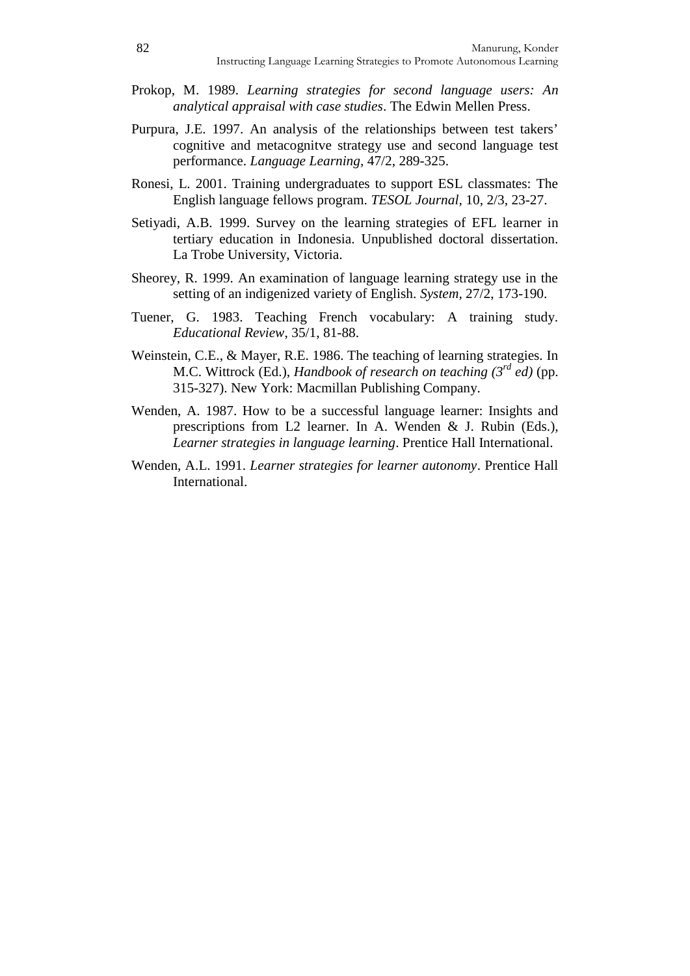- Prokop, M. 1989. *Learning strategies for second language users: An analytical appraisal with case studies*. The Edwin Mellen Press.
- Purpura, J.E. 1997. An analysis of the relationships between test takers' cognitive and metacognitve strategy use and second language test performance. *Language Learning,* 47/2, 289-325.
- Ronesi, L. 2001. Training undergraduates to support ESL classmates: The English language fellows program. *TESOL Journal,* 10, 2/3, 23-27.
- Setiyadi, A.B. 1999. Survey on the learning strategies of EFL learner in tertiary education in Indonesia. Unpublished doctoral dissertation. La Trobe University, Victoria.
- Sheorey, R. 1999. An examination of language learning strategy use in the setting of an indigenized variety of English. *System,* 27/2, 173-190.
- Tuener, G. 1983. Teaching French vocabulary: A training study. *Educational Review*, 35/1, 81-88.
- Weinstein, C.E., & Mayer, R.E. 1986. The teaching of learning strategies. In M.C. Wittrock (Ed.), *Handbook of research on teaching (3 rd ed)* (pp. 315-327). New York: Macmillan Publishing Company.
- Wenden, A. 1987. How to be a successful language learner: Insights and prescriptions from L2 learner. In A. Wenden & J. Rubin (Eds.), *Learner strategies in language learning*. Prentice Hall International.
- Wenden, A.L. 1991. *Learner strategies for learner autonomy*. Prentice Hall International.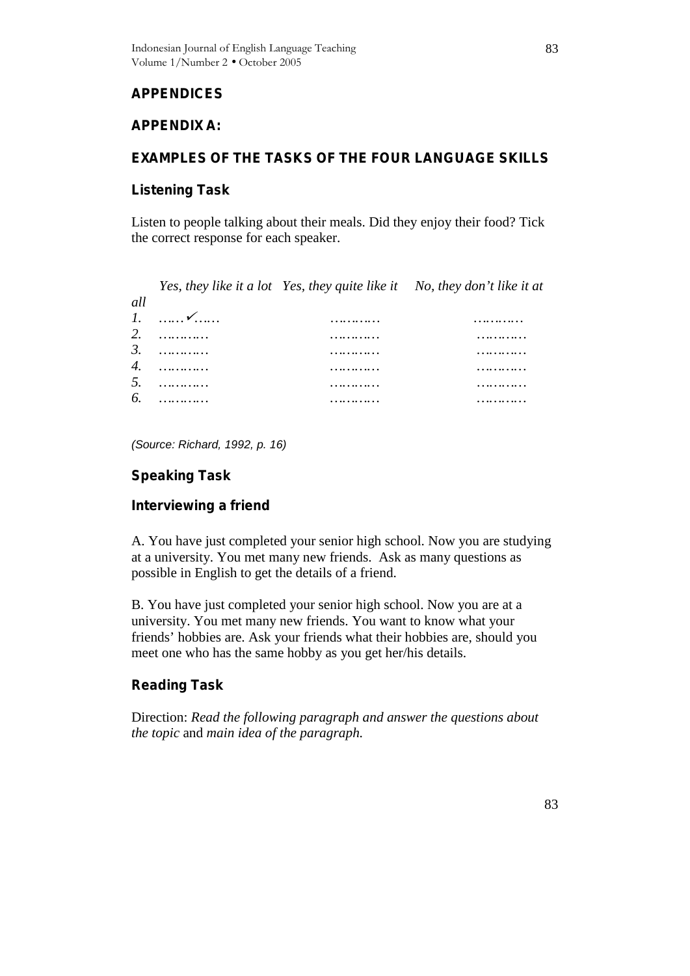# **APPENDICES**

# **APPENDIX A:**

# **EXAMPLES OF THE TASKS OF THE FOUR LANGUAGE SKILLS**

## **Listening Task**

Listen to people talking about their meals. Did they enjoy their food? Tick the correct response for each speaker.

*Yes, they like it a lot Yes, they quite like it No, they don't like it at*

| all                        |                        | . . |   |
|----------------------------|------------------------|-----|---|
|                            |                        |     |   |
| $\mathbf{I}$<br>.,         | $\checkmark$<br>.<br>. | .   | . |
| $\mathcal{D}$<br><u>L.</u> | .                      | .   | . |
| 3.                         | .                      | .   | . |
| 4.                         | .                      | .   | . |
|                            |                        |     |   |
| 5.                         | .                      | .   | . |
| 6.                         | .                      | .   | . |
|                            |                        |     |   |

*(Source: Richard, 1992, p. 16)*

# **Speaking Task**

# **Interviewing a friend**

A. You have just completed your senior high school. Now you are studying at a university. You met many new friends. Ask as many questions as possible in English to get the details of a friend.

B. You have just completed your senior high school. Now you are at a university. You met many new friends. You want to know what your friends' hobbies are. Ask your friends what their hobbies are, should you meet one who has the same hobby as you get her/his details.

# **Reading Task**

Direction: *Read the following paragraph and answer the questions about the topic* and *main idea of the paragraph.*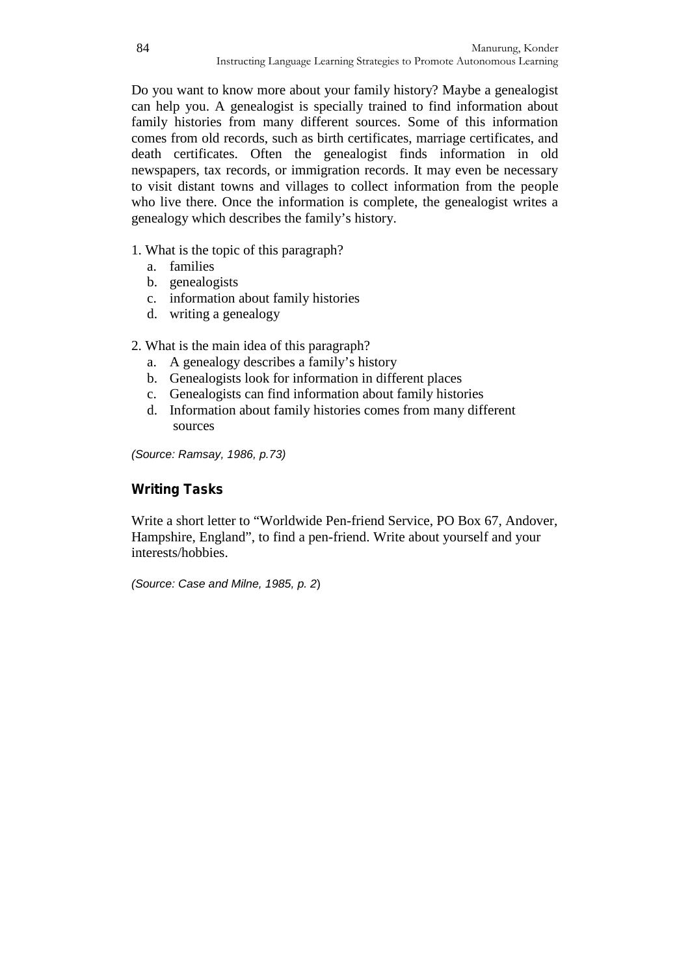Do you want to know more about your family history? Maybe a genealogist can help you. A genealogist is specially trained to find information about family histories from many different sources. Some of this information comes from old records, such as birth certificates, marriage certificates, and death certificates. Often the genealogist finds information in old newspapers, tax records, or immigration records. It may even be necessary to visit distant towns and villages to collect information from the people who live there. Once the information is complete, the genealogist writes a genealogy which describes the family's history.

- 1. What is the topic of this paragraph?
	- a. families
	- b. genealogists
	- c. information about family histories
	- d. writing a genealogy
- 2. What is the main idea of this paragraph?
	- a. A genealogy describes a family's history
	- b. Genealogists look for information in different places
	- c. Genealogists can find information about family histories
	- d. Information about family histories comes from many different sources

*(Source: Ramsay, 1986, p.73)*

## **Writing Tasks**

Write a short letter to "Worldwide Pen-friend Service, PO Box 67, Andover, Hampshire, England", to find a pen-friend. Write about yourself and your interests/hobbies.

*(Source: Case and Milne, 1985, p. 2*)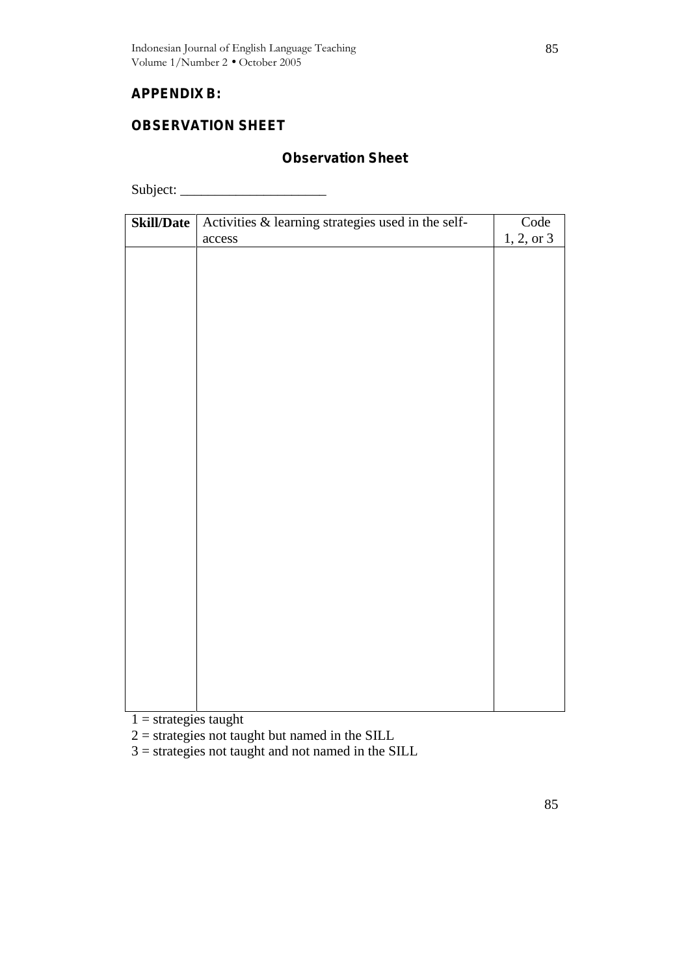# **APPENDIX B:**

# **OBSERVATION SHEET**

# **Observation Sheet**

Subject: \_\_\_\_\_\_\_\_\_\_\_\_\_\_\_\_\_\_\_\_\_

| Skill/Date | Activities & learning strategies used in the self- | Code       |
|------------|----------------------------------------------------|------------|
|            | $access$                                           | 1, 2, or 3 |
|            |                                                    |            |
|            |                                                    |            |
|            |                                                    |            |
|            |                                                    |            |
|            |                                                    |            |
|            |                                                    |            |
|            |                                                    |            |
|            |                                                    |            |
|            |                                                    |            |
|            |                                                    |            |
|            |                                                    |            |
|            |                                                    |            |
|            |                                                    |            |
|            |                                                    |            |
|            |                                                    |            |
|            |                                                    |            |
|            |                                                    |            |
|            |                                                    |            |
|            |                                                    |            |
|            |                                                    |            |
|            |                                                    |            |
|            |                                                    |            |
|            |                                                    |            |

 $1 =$  strategies taught

 $2 =$  strategies not taught but named in the SILL

 $3 =$  strategies not taught and not named in the SILL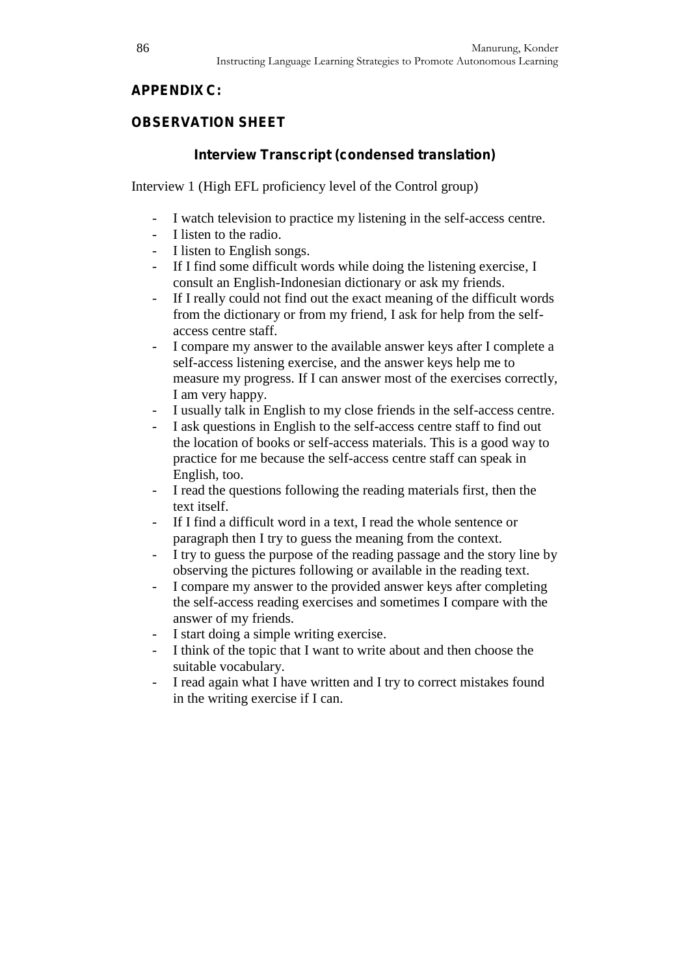# **APPENDIX C:**

# **OBSERVATION SHEET**

# **Interview Transcript (condensed translation)**

Interview 1 (High EFL proficiency level of the Control group)

- I watch television to practice my listening in the self-access centre.
- I listen to the radio.
- I listen to English songs.
- If I find some difficult words while doing the listening exercise, I consult an English-Indonesian dictionary or ask my friends.
- If I really could not find out the exact meaning of the difficult words from the dictionary or from my friend, I ask for help from the self access centre staff.
- I compare my answer to the available answer keys after I complete a self-access listening exercise, and the answer keys help me to measure my progress. If I can answer most of the exercises correctly, I am very happy.
- I usually talk in English to my close friends in the self-access centre.
- I ask questions in English to the self-access centre staff to find out the location of books or self-access materials. This is a good way to practice for me because the self-access centre staff can speak in English, too.
- I read the questions following the reading materials first, then the text itself.
- If I find a difficult word in a text. I read the whole sentence or paragraph then I try to guess the meaning from the context.
- I try to guess the purpose of the reading passage and the story line by observing the pictures following or available in the reading text.
- I compare my answer to the provided answer keys after completing the self-access reading exercises and sometimes I compare with the answer of my friends.
- I start doing a simple writing exercise.
- I think of the topic that I want to write about and then choose the suitable vocabulary.
- I read again what I have written and I try to correct mistakes found in the writing exercise if I can.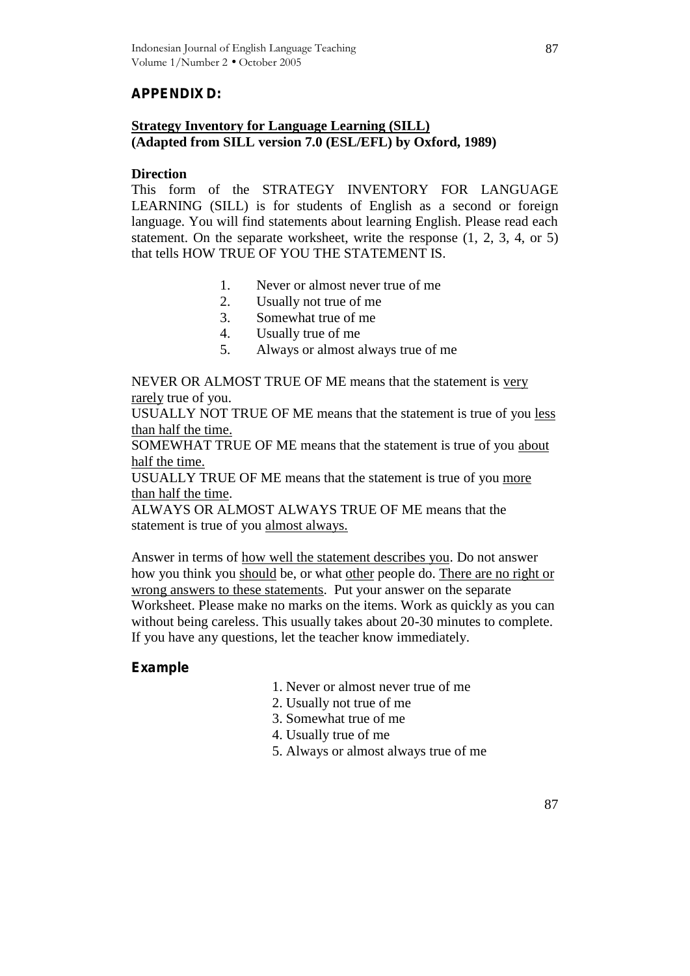# **APPENDIX D:**

## **Strategy Inventory for Language Learning (SILL) (Adapted from SILL version 7.0 (ESL/EFL) by Oxford, 1989)**

#### **Direction**

This form of the STRATEGY INVENTORY FOR LANGUAGE LEARNING (SILL) is for students of English as a second or foreign language. You will find statements about learning English. Please read each statement. On the separate worksheet, write the response (1, 2, 3, 4, or 5) that tells HOW TRUE OF YOU THE STATEMENT IS.

- 1. Never or almost never true of me
- 2. Usually not true of me
- 3. Somewhat true of me
- 4. Usually true of me
- 5. Always or almost always true of me

NEVER OR ALMOST TRUE OF ME means that the statement is very rarely true of you.

USUALLY NOT TRUE OF ME means that the statement is true of you less than half the time.

SOMEWHAT TRUE OF ME means that the statement is true of you about half the time.

USUALLY TRUE OF ME means that the statement is true of you more than half the time.

ALWAYS OR ALMOST ALWAYS TRUE OF ME means that the statement is true of you almost always.

Answer in terms of how well the statement describes you. Do not answer how you think you should be, or what other people do. There are no right or wrong answers to these statements. Put your answer on the separate Worksheet. Please make no marks on the items. Work as quickly as you can without being careless. This usually takes about 20-30 minutes to complete. If you have any questions, let the teacher know immediately.

## **Example**

- 1. Never or almost never true of me
- 2. Usually not true of me
- 3. Somewhat true of me
- 4. Usually true of me
- 5. Always or almost always true of me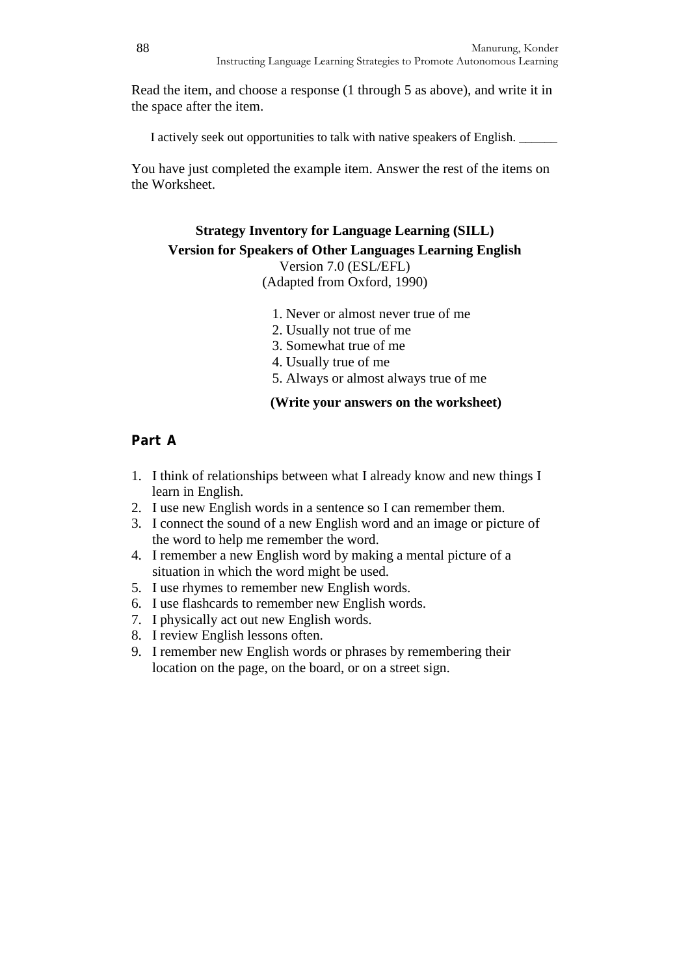Read the item, and choose a response (1 through 5 as above), and write it in the space after the item.

I actively seek out opportunities to talk with native speakers of English. \_\_\_\_\_\_

You have just completed the example item. Answer the rest of the items on the Worksheet.

# **Strategy Inventory for Language Learning (SILL) Version for Speakers of Other Languages Learning English**

Version 7.0 (ESL/EFL) (Adapted from Oxford, 1990)

- 1. Never or almost never true of me
- 2. Usually not true of me
- 3. Somewhat true of me
- 4. Usually true of me
- 5. Always or almost always true of me

#### **(Write your answers on the worksheet)**

## **Part A**

- 1. I think of relationships between what I already know and new things I learn in English.
- 2. I use new English words in a sentence so I can remember them.
- 3. I connect the sound of a new English word and an image or picture of the word to help me remember the word.
- 4. I remember a new English word by making a mental picture of a situation in which the word might be used.
- 5. I use rhymes to remember new English words.
- 6. I use flashcards to remember new English words.
- 7. I physically act out new English words.
- 8. I review English lessons often.
- 9. I remember new English words or phrases by remembering their location on the page, on the board, or on a street sign.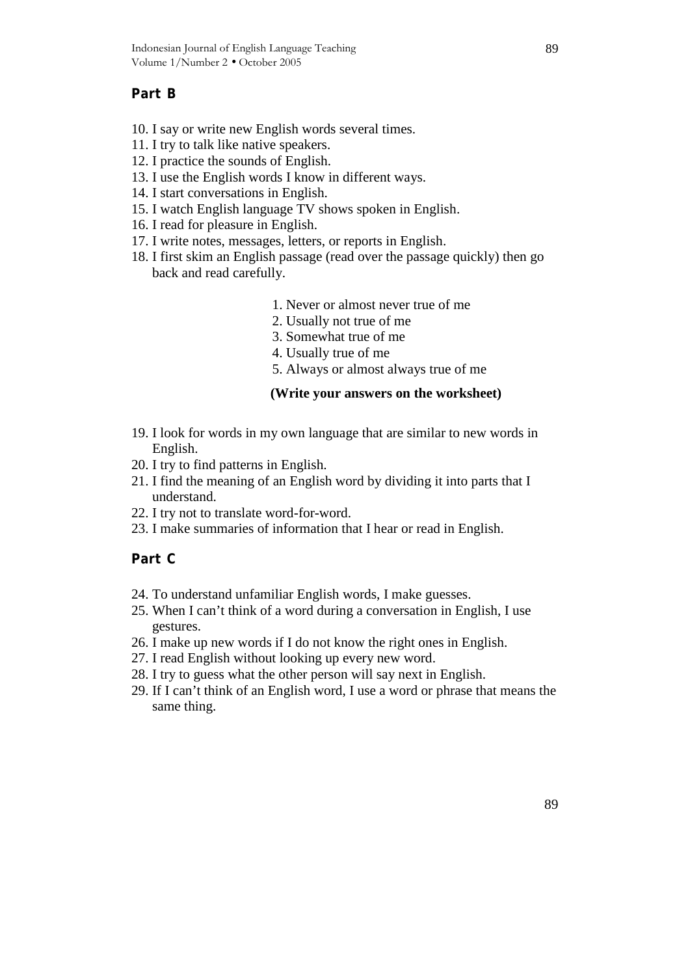## **Part B**

- 10. I say or write new English words several times.
- 11. I try to talk like native speakers.
- 12. I practice the sounds of English.
- 13. I use the English words I know in different ways.
- 14. I start conversations in English.
- 15. I watch English language TV shows spoken in English.
- 16. I read for pleasure in English.
- 17. I write notes, messages, letters, or reports in English.
- 18. I first skim an English passage (read over the passage quickly) then go back and read carefully.
	- 1. Never or almost never true of me
	- 2. Usually not true of me
	- 3. Somewhat true of me
	- 4. Usually true of me
	- 5. Always or almost always true of me

#### **(Write your answers on the worksheet)**

- 19. I look for words in my own language that are similar to new words in English.
- 20. I try to find patterns in English.
- 21. I find the meaning of an English word by dividing it into parts that I understand.
- 22. I try not to translate word-for-word.
- 23. I make summaries of information that I hear or read in English.

# **Part C**

- 24. To understand unfamiliar English words, I make guesses.
- 25. When I can't think of a word during a conversation in English, I use gestures.
- 26. I make up new words if I do not know the right ones in English.
- 27. I read English without looking up every new word.
- 28. I try to guess what the other person will say next in English.
- 29. If I can't think of an English word, I use a word or phrase that means the same thing.